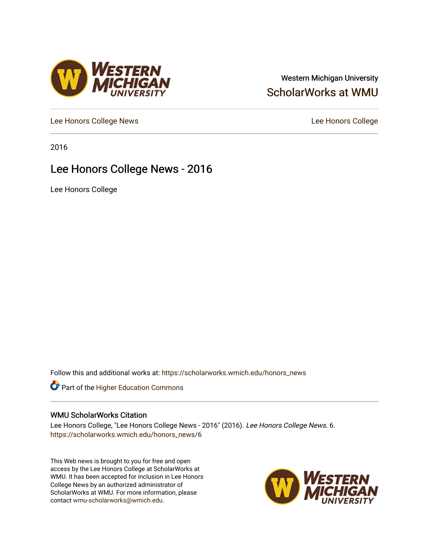#### Western Michigan University [ScholarWorks at WMU](https://scholarworks.wmich.edu/)

[Lee Honors College News](https://scholarworks.wmich.edu/honors_news) **Lee Honors College** 

2016

#### Lee Honors College News - 2016

Lee Honors College

Follow this and additional works at: [https://scholarworks.wmich.edu/honors\\_news](https://scholarworks.wmich.edu/honors_news?utm_source=scholarworks.wmich.edu%2Fhonors_news%2F6&utm_medium=PDF&utm_campaign=PDFCoverPages)



#### WMU ScholarWorks Citation

Lee Honors College, "Lee Honors College News - 2016" (2016). Lee Honors College News. 6. [https://scholarworks.wmich.edu/honors\\_news/6](https://scholarworks.wmich.edu/honors_news/6?utm_source=scholarworks.wmich.edu%2Fhonors_news%2F6&utm_medium=PDF&utm_campaign=PDFCoverPages) 

This Web news is brought to you for free and open access by the Lee Honors College at ScholarWorks at WMU. It has been accepted for inclusion in Lee Honors College News by an authorized administrator of ScholarWorks at WMU. For more information, please contact [wmu-scholarworks@wmich.edu](mailto:wmu-scholarworks@wmich.edu).



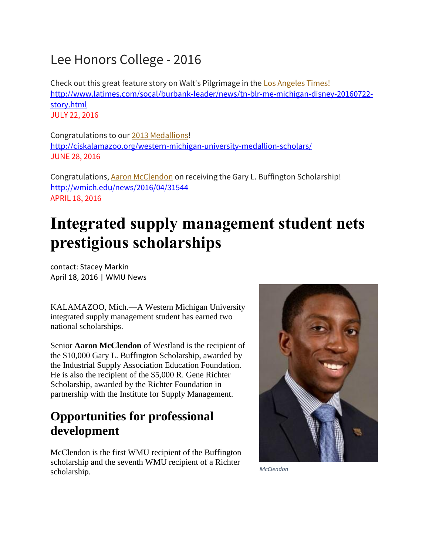## Lee Honors College - 2016

Check out this great feature story on Walt's Pilgrimage in the **Los Angeles Times!** [http://www.latimes.com/socal/burbank-leader/news/tn-blr-me-michigan-disney-20160722](http://www.latimes.com/socal/burbank-leader/news/tn-blr-me-michigan-disney-20160722-story.html) [story.html](http://www.latimes.com/socal/burbank-leader/news/tn-blr-me-michigan-disney-20160722-story.html) JULY 22, 2016

Congratulations to our 2013 Medallions! <http://ciskalamazoo.org/western-michigan-university-medallion-scholars/> JUNE 28, 2016

Congratulations, [Aaron McClendon](http://wmich.edu/news/2016/04/31544) on receiving the Gary L. Buffington Scholarship! <http://wmich.edu/news/2016/04/31544> APRIL 18, 2016

# **Integrated supply management student nets prestigious scholarships**

contact: Stacey Markin April 18, 2016 | WMU News

KALAMAZOO, Mich.—A Western Michigan University integrated supply management student has earned two national scholarships.

Senior **Aaron McClendon** of Westland is the recipient of the \$10,000 Gary L. Buffington Scholarship, awarded by the Industrial Supply Association Education Foundation. He is also the recipient of the \$5,000 R. Gene Richter Scholarship, awarded by the Richter Foundation in partnership with the Institute for Supply Management.

### **Opportunities for professional development**

McClendon is the first WMU recipient of the Buffington scholarship and the seventh WMU recipient of a Richter scholarship. *McClendon* 

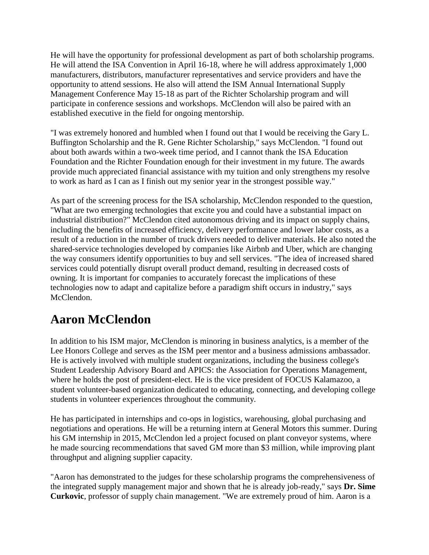He will have the opportunity for professional development as part of both scholarship programs. He will attend the ISA Convention in April 16-18, where he will address approximately 1,000 manufacturers, distributors, manufacturer representatives and service providers and have the opportunity to attend sessions. He also will attend the ISM Annual International Supply Management Conference May 15-18 as part of the Richter Scholarship program and will participate in conference sessions and workshops. McClendon will also be paired with an established executive in the field for ongoing mentorship.

"I was extremely honored and humbled when I found out that I would be receiving the Gary L. Buffington Scholarship and the R. Gene Richter Scholarship," says McClendon. "I found out about both awards within a two-week time period, and I cannot thank the ISA Education Foundation and the Richter Foundation enough for their investment in my future. The awards provide much appreciated financial assistance with my tuition and only strengthens my resolve to work as hard as I can as I finish out my senior year in the strongest possible way."

As part of the screening process for the ISA scholarship, McClendon responded to the question, "What are two emerging technologies that excite you and could have a substantial impact on industrial distribution?" McClendon cited autonomous driving and its impact on supply chains, including the benefits of increased efficiency, delivery performance and lower labor costs, as a result of a reduction in the number of truck drivers needed to deliver materials. He also noted the shared-service technologies developed by companies like Airbnb and Uber, which are changing the way consumers identify opportunities to buy and sell services. "The idea of increased shared services could potentially disrupt overall product demand, resulting in decreased costs of owning. It is important for companies to accurately forecast the implications of these technologies now to adapt and capitalize before a paradigm shift occurs in industry," says McClendon.

#### **Aaron McClendon**

In addition to his ISM major, McClendon is minoring in business analytics, is a member of the Lee Honors College and serves as the ISM peer mentor and a business admissions ambassador. He is actively involved with multiple student organizations, including the business college's Student Leadership Advisory Board and APICS: the Association for Operations Management, where he holds the post of president-elect. He is the vice president of FOCUS Kalamazoo, a student volunteer-based organization dedicated to educating, connecting, and developing college students in volunteer experiences throughout the community.

He has participated in internships and co-ops in logistics, warehousing, global purchasing and negotiations and operations. He will be a returning intern at General Motors this summer. During his GM internship in 2015, McClendon led a project focused on plant conveyor systems, where he made sourcing recommendations that saved GM more than \$3 million, while improving plant throughput and aligning supplier capacity.

"Aaron has demonstrated to the judges for these scholarship programs the comprehensiveness of the integrated supply management major and shown that he is already job-ready," says **Dr. Sime Curkovic**, professor of supply chain management. "We are extremely proud of him. Aaron is a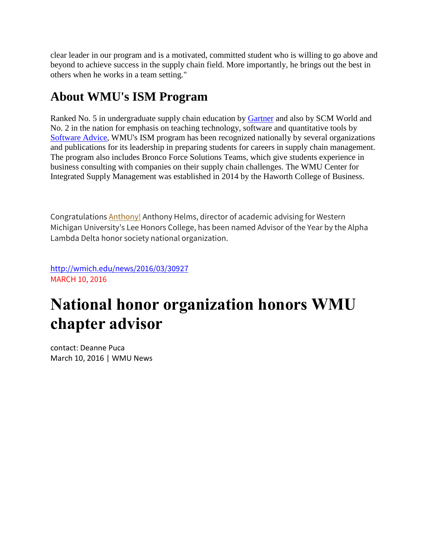clear leader in our program and is a motivated, committed student who is willing to go above and beyond to achieve success in the supply chain field. More importantly, he brings out the best in others when he works in a team setting."

### **About WMU's ISM Program**

Ranked No. 5 in undergraduate supply chain education by **Gartner** and also by SCM World and No. 2 in the nation for emphasis on teaching technology, software and quantitative tools by [Software Advice,](http://www.softwareadvice.com/scm) WMU's ISM program has been recognized nationally by several organizations and publications for its leadership in preparing students for careers in supply chain management. The program also includes Bronco Force Solutions Teams, which give students experience in business consulting with companies on their supply chain challenges. The WMU Center for Integrated Supply Management was established in 2014 by the Haworth College of Business.

Congratulations **[Anthony!](http://wmich.edu/news/2016/03/30927)** Anthony Helms, director of academic advising for Western Michigan University's Lee Honors College, has been named Advisor of the Year by the Alpha Lambda Delta honor society national organization.

<http://wmich.edu/news/2016/03/30927> MARCH 10, 2016

# **National honor organization honors WMU chapter advisor**

contact: Deanne Puca March 10, 2016 | WMU News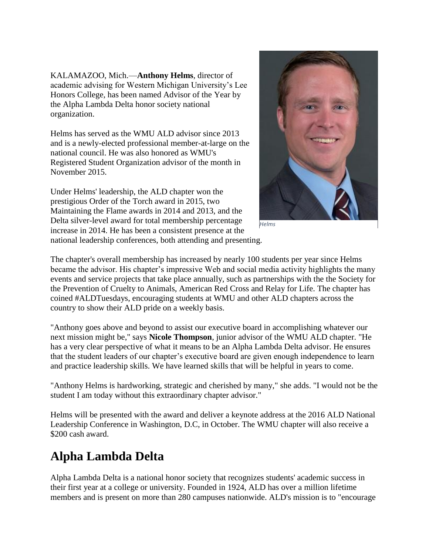KALAMAZOO, Mich.—**Anthony Helms**, director of academic advising for Western Michigan University's Lee Honors College, has been named Advisor of the Year by the Alpha Lambda Delta honor society national organization.

Helms has served as the WMU ALD advisor since 2013 and is a newly-elected professional member-at-large on the national council. He was also honored as WMU's Registered Student Organization advisor of the month in November 2015.

Under Helms' leadership, the ALD chapter won the prestigious Order of the Torch award in 2015, two Maintaining the Flame awards in 2014 and 2013, and the Delta silver-level award for total membership percentage increase in 2014. He has been a consistent presence at the national leadership conferences, both attending and presenting.



*Helms*

The chapter's overall membership has increased by nearly 100 students per year since Helms became the advisor. His chapter's impressive Web and social media activity highlights the many events and service projects that take place annually, such as partnerships with the the Society for the Prevention of Cruelty to Animals, American Red Cross and Relay for Life. The chapter has coined #ALDTuesdays, encouraging students at WMU and other ALD chapters across the country to show their ALD pride on a weekly basis.

"Anthony goes above and beyond to assist our executive board in accomplishing whatever our next mission might be," says **Nicole Thompson**, junior advisor of the WMU ALD chapter. "He has a very clear perspective of what it means to be an Alpha Lambda Delta advisor. He ensures that the student leaders of our chapter's executive board are given enough independence to learn and practice leadership skills. We have learned skills that will be helpful in years to come.

"Anthony Helms is hardworking, strategic and cherished by many," she adds. "I would not be the student I am today without this extraordinary chapter advisor."

Helms will be presented with the award and deliver a keynote address at the 2016 ALD National Leadership Conference in Washington, D.C, in October. The WMU chapter will also receive a \$200 cash award.

#### **Alpha Lambda Delta**

Alpha Lambda Delta is a national honor society that recognizes students' academic success in their first year at a college or university. Founded in 1924, ALD has over a million lifetime members and is present on more than 280 campuses nationwide. ALD's mission is to "encourage